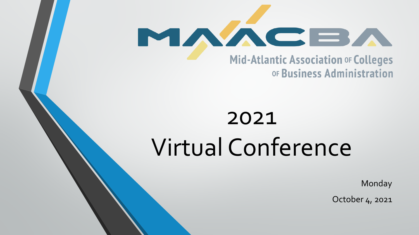

# 2021 Virtual Conference

Monday

October 4, 2021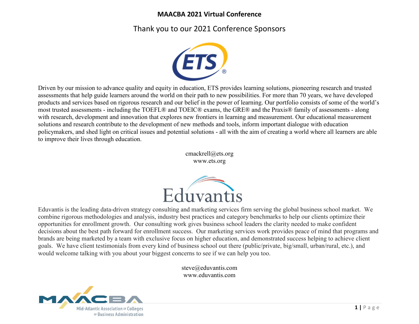## Thank you to our 2021 Conference Sponsors



Driven by our mission to advance quality and equity in education, ETS provides learning solutions, pioneering research and trusted assessments that help guide learners around the world on their path to new possibilities. For more than 70 years, we have developed products and services based on rigorous research and our belief in the power of learning. Our portfolio consists of some of the world's most trusted assessments - including the TOEFL® and TOEIC® exams, the GRE® and the Praxis® family of assessments - along with research, development and innovation that explores new frontiers in learning and measurement. Our educational measurement solutions and research contribute to the development of new methods and tools, inform important dialogue with education policymakers, and shed light on critical issues and potential solutions - all with the aim of creating a world where all learners are able to improve their lives through education.

> cmackrell@ets.org www.ets.org



Eduvantis is the leading data-driven strategy consulting and marketing services firm serving the global business school market. We combine rigorous methodologies and analysis, industry best practices and category benchmarks to help our clients optimize their opportunities for enrollment growth. Our consulting work gives business school leaders the clarity needed to make confident decisions about the best path forward for enrollment success. Our marketing services work provides peace of mind that programs and brands are being marketed by a team with exclusive focus on higher education, and demonstrated success helping to achieve client goals. We have client testimonials from every kind of business school out there (public/private, big/small, urban/rural, etc.), and would welcome talking with you about your biggest concerns to see if we can help you too.

> steve@eduvantis.com www.eduvantis.com

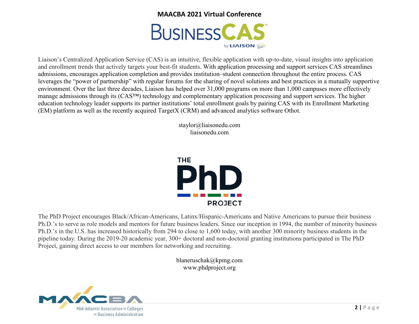

Liaison's Centralized Application Service (CAS) is an intuitive, flexible application with up-to-date, visual insights into application and enrollment trends that actively targets your best-fit students. With application processing and support services CAS streamlines admissions, encourages application completion and provides institution–student connection throughout the entire process. CAS leverages the "power of partnership" with regular forums for the sharing of novel solutions and best practices in a mutually supportive environment. Over the last three decades, Liaison has helped over 31,000 programs on more than 1,000 campuses more effectively manage admissions through its (CAS™) technology and complementary application processing and support services. The higher education technology leader supports its partner institutions' total enrollment goals by pairing CAS with its Enrollment Marketing (EM) platform as well as the recently acquired TargetX (CRM) and advanced analytics software Othot.

> staylor@liaisonedu.com liaisonedu.com



The PhD Project encourages Black/African-Americans, Latinx/Hispanic-Americans and Native Americans to pursue their business Ph.D.'s to serve as role models and mentors for future business leaders. Since our inception in 1994, the number of minority business Ph.D.'s in the U.S. has increased historically from 294 to close to 1,600 today, with another 300 minority business students in the pipeline today. During the 2019-20 academic year, 300+ doctoral and non-doctoral granting institutions participated in The PhD Project, gaining direct access to our members for networking and recruiting.

> blaneruschak@kpmg.com www.phdproject.org

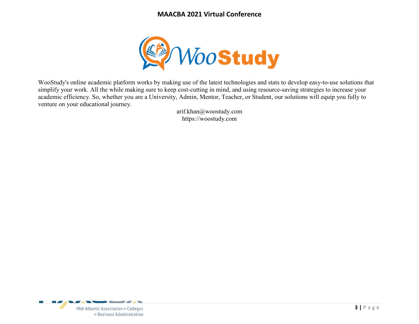

WooStudy's online academic platform works by making use of the latest technologies and stats to develop easy-to-use solutions that simplify your work. All the while making sure to keep cost-cutting in mind, and using resource-saving strategies to increase your academic efficiency. So, whether you are a University, Admin, Mentor, Teacher, or Student, our solutions will equip you fully to venture on your educational journey.

> arif.khan@woostudy.com https://woostudy.com

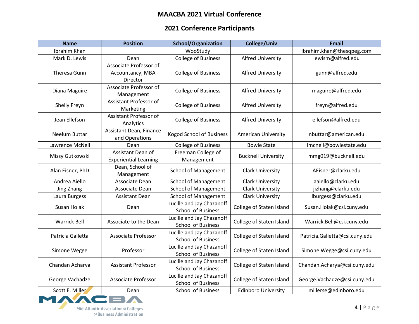# **2021 Conference Participants**

| <b>Name</b>         | <b>Position</b>                                        | <b>School/Organization</b>                             | College/Univ               | <b>Email</b>                   |
|---------------------|--------------------------------------------------------|--------------------------------------------------------|----------------------------|--------------------------------|
| Ibrahim Khan        |                                                        | WooStudy                                               |                            | ibrahim.khan@thesqpeg.com      |
| Mark D. Lewis       | Dean                                                   | <b>College of Business</b>                             | <b>Alfred University</b>   | lewism@alfred.edu              |
| Theresa Gunn        | Associate Professor of<br>Accountancy, MBA<br>Director | <b>College of Business</b>                             | <b>Alfred University</b>   | gunn@alfred.edu                |
| Diana Maguire       | Associate Professor of<br>Management                   | <b>College of Business</b>                             | <b>Alfred University</b>   | maguire@alfred.edu             |
| Shelly Freyn        | Assistant Professor of<br>Marketing                    | <b>College of Business</b>                             | <b>Alfred University</b>   | freyn@alfred.edu               |
| Jean Ellefson       | Assistant Professor of<br>Analytics                    | <b>College of Business</b>                             | <b>Alfred University</b>   | ellefson@alfred.edu            |
| Neelum Buttar       | Assistant Dean, Finance<br>and Operations              | <b>Kogod School of Business</b>                        | <b>American University</b> | nbuttar@american.edu           |
| Lawrence McNeil     | Dean                                                   | <b>College of Business</b>                             | <b>Bowie State</b>         | Imcneil@bowiestate.edu         |
| Missy Gutkowski     | Assistant Dean of<br><b>Experiential Learning</b>      | Freeman College of<br>Management                       | <b>Bucknell University</b> | mmg019@bucknell.edu            |
| Alan Eisner, PhD    | Dean, School of<br>Management                          | <b>School of Management</b>                            | <b>Clark University</b>    | AEisner@clarku.edu             |
| Andrea Aiello       | Associate Dean                                         | <b>School of Management</b>                            | <b>Clark University</b>    | aaiello@clarku.edu             |
| Jing Zhang          | Associate Dean                                         | <b>School of Management</b>                            | <b>Clark University</b>    | jizhang@clarku.edu             |
| Laura Burgess       | <b>Assistant Dean</b>                                  | <b>School of Management</b>                            | <b>Clark University</b>    | lburgess@clarku.edu            |
| Susan Holak         | Dean                                                   | Lucille and Jay Chazanoff<br><b>School of Business</b> | College of Staten Island   | Susan.Holak@csi.cuny.edu       |
| <b>Warrick Bell</b> | Associate to the Dean                                  | Lucille and Jay Chazanoff<br><b>School of Business</b> | College of Staten Island   | Warrick.Bell@csi.cuny.edu      |
| Patricia Galletta   | <b>Associate Professor</b>                             | Lucille and Jay Chazanoff<br><b>School of Business</b> | College of Staten Island   | Patricia.Galletta@csi.cuny.edu |
| Simone Wegge        | Professor                                              | Lucille and Jay Chazanoff<br><b>School of Business</b> | College of Staten Island   | Simone.Wegge@csi.cuny.edu      |
| Chandan Acharya     | <b>Assistant Professor</b>                             | Lucille and Jay Chazanoff<br><b>School of Business</b> | College of Staten Island   | Chandan.Acharya@csi.cuny.edu   |
| George Vachadze     | <b>Associate Professor</b>                             | Lucille and Jay Chazanoff<br><b>School of Business</b> | College of Staten Island   | George.Vachadze@csi.cuny.edu   |
| Scott E. Miller     | Dean                                                   | <b>School of Business</b>                              | <b>Edinboro University</b> | millerse@edinboro.edu          |
|                     |                                                        |                                                        |                            |                                |

Mid-Atlantic Association or Colleges OF Business Administration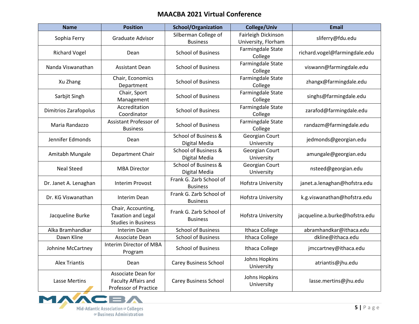| <b>Name</b>           | <b>Position</b>                                                               | <b>School/Organization</b>                 | <b>College/Univ</b>                        | <b>Email</b>                   |
|-----------------------|-------------------------------------------------------------------------------|--------------------------------------------|--------------------------------------------|--------------------------------|
| Sophia Ferry          | Graduate Advisor                                                              | Silberman College of<br><b>Business</b>    | Fairleigh Dickinson<br>University, Florham | sliferry@fdu.edu               |
| <b>Richard Vogel</b>  | Dean                                                                          | <b>School of Business</b>                  | Farmingdale State<br>College               | richard.vogel@farmingdale.edu  |
| Nanda Viswanathan     | <b>Assistant Dean</b>                                                         | <b>School of Business</b>                  | Farmingdale State<br>College               | viswann@farmingdale.edu        |
| Xu Zhang              | Chair, Economics<br>Department                                                | <b>School of Business</b>                  | Farmingdale State<br>College               | zhangx@farmingdale.edu         |
| Sarbjit Singh         | Chair, Sport<br>Management                                                    | <b>School of Business</b>                  | Farmingdale State<br>College               | singhs@farmingdale.edu         |
| Dimitrios Zarafopolus | Accreditation<br>Coordinator                                                  | <b>School of Business</b>                  | Farmingdale State<br>College               | zarafod@farmingdale.edu        |
| Maria Randazzo        | Assistant Professor of<br><b>Business</b>                                     | <b>School of Business</b>                  | Farmingdale State<br>College               | randazm@farmingdale.edu        |
| Jennifer Edmonds      | Dean                                                                          | School of Business &<br>Digital Media      | Georgian Court<br>University               | jedmonds@georgian.edu          |
| Amitabh Mungale       | Department Chair                                                              | School of Business &<br>Digital Media      | Georgian Court<br>University               | amungale@georgian.edu          |
| <b>Neal Steed</b>     | <b>MBA Director</b>                                                           | School of Business &<br>Digital Media      | Georgian Court<br>University               | nsteed@georgian.edu            |
| Dr. Janet A. Lenaghan | <b>Interim Provost</b>                                                        | Frank G. Zarb School of<br><b>Business</b> | <b>Hofstra University</b>                  | janet.a.lenaghan@hofstra.edu   |
| Dr. KG Viswanathan    | Interim Dean                                                                  | Frank G. Zarb School of<br><b>Business</b> | <b>Hofstra University</b>                  | k.g.viswanathan@hofstra.edu    |
| Jacqueline Burke      | Chair, Accounting,<br><b>Taxation and Legal</b><br><b>Studies in Business</b> | Frank G. Zarb School of<br><b>Business</b> | <b>Hofstra University</b>                  | jacqueline.a.burke@hofstra.edu |
| Alka Bramhandkar      | Interim Dean                                                                  | <b>School of Business</b>                  | Ithaca College                             | abramhandkar@ithaca.edu        |
| Dawn Kline            | Associate Dean                                                                | <b>School of Business</b>                  | Ithaca College                             | dkline@ithaca.edu              |
| Johnine McCartney     | Interim Director of MBA<br>Program                                            | <b>School of Business</b>                  | Ithaca College                             | jmccartney@ithaca.edu          |
| <b>Alex Triantis</b>  | Dean                                                                          | <b>Carey Business School</b>               | Johns Hopkins<br>University                | atriantis@jhu.edu              |
| <b>Lasse Mertins</b>  | Associate Dean for<br>Faculty Affairs and<br><b>Professor of Practice</b>     | <b>Carey Business School</b>               | Johns Hopkins<br>University                | lasse.mertins@jhu.edu          |

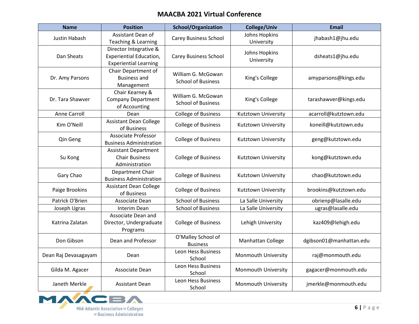| <b>Name</b>          | <b>Position</b>                                                                          | <b>School/Organization</b>                      | <b>College/Univ</b>         | Email                   |
|----------------------|------------------------------------------------------------------------------------------|-------------------------------------------------|-----------------------------|-------------------------|
| Justin Habash        | Assistant Dean of<br>Teaching & Learning                                                 | <b>Carey Business School</b>                    | Johns Hopkins<br>University | jhabash1@jhu.edu        |
| Dan Sheats           | Director Integrative &<br><b>Experiential Education,</b><br><b>Experiential Learning</b> | <b>Carey Business School</b>                    | Johns Hopkins<br>University | dsheats1@jhu.edu        |
| Dr. Amy Parsons      | Chair Department of<br><b>Business and</b><br>Management                                 | William G. McGowan<br><b>School of Business</b> | King's College              | amyparsons@kings.edu    |
| Dr. Tara Shawver     | Chair Kearney &<br><b>Company Department</b><br>of Accounting                            | William G. McGowan<br><b>School of Business</b> | King's College              | tarashawver@kings.edu   |
| Anne Carroll         | Dean                                                                                     | <b>College of Business</b>                      | Kutztown University         | acarroll@kutztown.edu   |
| Kim O'Neill          | <b>Assistant Dean College</b><br>of Business                                             | <b>College of Business</b>                      | Kutztown University         | koneill@kutztown.edu    |
| Qin Geng             | <b>Associate Professor</b><br><b>Business Administration</b>                             | <b>College of Business</b>                      | Kutztown University         | geng@kutztown.edu       |
| Su Kong              | <b>Assistant Department</b><br><b>Chair Business</b><br>Administration                   | <b>College of Business</b>                      | Kutztown University         | kong@kutztown.edu       |
| Gary Chao            | Department Chair<br><b>Business Administration</b>                                       | <b>College of Business</b>                      | Kutztown University         | chao@kutztown.edu       |
| Paige Brookins       | <b>Assistant Dean College</b><br>of Business                                             | <b>College of Business</b>                      | Kutztown University         | brookins@kutztown.edu   |
| Patrick O'Brien      | Associate Dean                                                                           | <b>School of Business</b>                       | La Salle University         | obrienp@lasalle.edu     |
| Joseph Ugras         | Interim Dean                                                                             | <b>School of Business</b>                       | La Salle University         | ugras@lasalle.edu       |
| Katrina Zalatan      | Associate Dean and<br>Director, Undergraduate<br>Programs                                | <b>College of Business</b>                      | Lehigh University           | kaz409@lehigh.edu       |
| Don Gibson           | Dean and Professor                                                                       | O'Malley School of<br><b>Business</b>           | Manhattan College           | dgibson01@manhattan.edu |
| Dean Raj Devasagayam | Dean                                                                                     | <b>Leon Hess Business</b><br>School             | Monmouth University         | raj@monmouth.edu        |
| Gilda M. Agacer      | Associate Dean                                                                           | <b>Leon Hess Business</b><br>School             | Monmouth University         | gagacer@monmouth.edu    |
| Janeth Merkle        | <b>Assistant Dean</b>                                                                    | <b>Leon Hess Business</b><br>School             | Monmouth University         | jmerkle@monmouth.edu    |

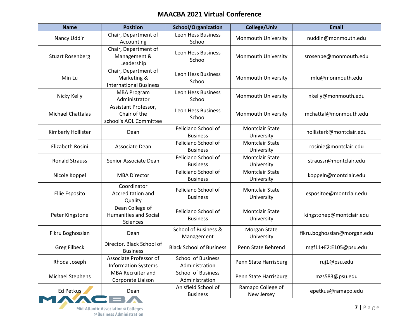| <b>Name</b>              | <b>Position</b>                                                      | <b>School/Organization</b>                  | <b>College/Univ</b>                  | <b>Email</b>                |
|--------------------------|----------------------------------------------------------------------|---------------------------------------------|--------------------------------------|-----------------------------|
| Nancy Uddin              | Chair, Department of<br>Accounting                                   | Leon Hess Business<br>School                | Monmouth University                  | nuddin@monmouth.edu         |
| <b>Stuart Rosenberg</b>  | Chair, Department of<br>Management &<br>Leadership                   | <b>Leon Hess Business</b><br>School         | Monmouth University                  | srosenbe@monmouth.edu       |
| Min Lu                   | Chair, Department of<br>Marketing &<br><b>International Business</b> | Leon Hess Business<br>School                | <b>Monmouth University</b>           | mlu@monmouth.edu            |
| Nicky Kelly              | <b>MBA Program</b><br>Administrator                                  | <b>Leon Hess Business</b><br>School         | Monmouth University                  | nkelly@monmouth.edu         |
| <b>Michael Chattalas</b> | Assistant Professor,<br>Chair of the<br>school's AOL Committee       | Leon Hess Business<br>School                | Monmouth University                  | mchattal@monmouth.edu       |
| Kimberly Hollister       | Dean                                                                 | Feliciano School of<br><b>Business</b>      | <b>Montclair State</b><br>University | hollisterk@montclair.edu    |
| Elizabeth Rosini         | Associate Dean                                                       | Feliciano School of<br><b>Business</b>      | <b>Montclair State</b><br>University | rosinie@montclair.edu       |
| <b>Ronald Strauss</b>    | Senior Associate Dean                                                | Feliciano School of<br><b>Business</b>      | <b>Montclair State</b><br>University | straussr@montclair.edu      |
| Nicole Koppel            | <b>MBA Director</b>                                                  | Feliciano School of<br><b>Business</b>      | <b>Montclair State</b><br>University | koppeln@montclair.edu       |
| Ellie Esposito           | Coordinator<br>Accreditation and<br>Quality                          | Feliciano School of<br><b>Business</b>      | <b>Montclair State</b><br>University | espositoe@montclair.edu     |
| Peter Kingstone          | Dean College of<br><b>Humanities and Social</b><br>Sciences          | Feliciano School of<br><b>Business</b>      | <b>Montclair State</b><br>University | kingstonep@montclair.edu    |
| Fikru Boghossian         | Dean                                                                 | School of Business &<br>Management          | Morgan State<br>University           | fikru.boghossian@morgan.edu |
| <b>Greg Filbeck</b>      | Director, Black School of<br><b>Business</b>                         | <b>Black School of Business</b>             | Penn State Behrend                   | mgf11+E2:E105@psu.edu       |
| Rhoda Joseph             | Associate Professor of<br><b>Information Systems</b>                 | <b>School of Business</b><br>Administration | Penn State Harrisburg                | ruj1@psu.edu                |
| Michael Stephens         | <b>MBA Recruiter and</b><br>Corporate Liaison                        | <b>School of Business</b><br>Administration | Penn State Harrisburg                | mzs583@psu.edu              |
| <b>Ed Petkus</b>         | Dean                                                                 | Anisfield School of<br><b>Business</b>      | Ramapo College of<br>New Jersey      | epetkus@ramapo.edu          |
|                          |                                                                      |                                             |                                      |                             |

**A**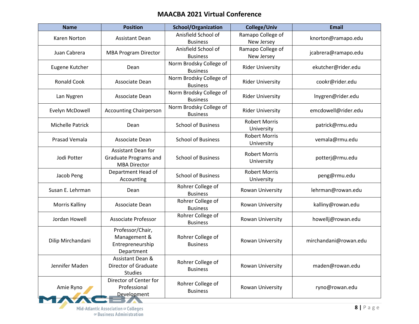| <b>Name</b>           | <b>Position</b>                                                                  | <b>School/Organization</b>                 | <b>College/Univ</b>                | <b>Email</b>          |
|-----------------------|----------------------------------------------------------------------------------|--------------------------------------------|------------------------------------|-----------------------|
| Karen Norton          | <b>Assistant Dean</b>                                                            | Anisfield School of<br><b>Business</b>     | Ramapo College of<br>New Jersey    | knorton@ramapo.edu    |
| Juan Cabrera          | <b>MBA Program Director</b>                                                      | Anisfield School of<br><b>Business</b>     | Ramapo College of<br>New Jersey    | jcabrera@ramapo.edu   |
| Eugene Kutcher        | Dean                                                                             | Norm Brodsky College of<br><b>Business</b> | <b>Rider University</b>            | ekutcher@rider.edu    |
| <b>Ronald Cook</b>    | Associate Dean                                                                   | Norm Brodsky College of<br><b>Business</b> | <b>Rider University</b>            | cookr@rider.edu       |
| Lan Nygren            | Associate Dean                                                                   | Norm Brodsky College of<br><b>Business</b> | <b>Rider University</b>            | Inygren@rider.edu     |
| Evelyn McDowell       | <b>Accounting Chairperson</b>                                                    | Norm Brodsky College of<br><b>Business</b> | <b>Rider University</b>            | emcdowell@rider.edu   |
| Michelle Patrick      | Dean                                                                             | <b>School of Business</b>                  | <b>Robert Morris</b><br>University | patrick@rmu.edu       |
| Prasad Vemala         | Associate Dean                                                                   | <b>School of Business</b>                  | <b>Robert Morris</b><br>University | vemala@rmu.edu        |
| Jodi Potter           | <b>Assistant Dean for</b><br><b>Graduate Programs and</b><br><b>MBA Director</b> | <b>School of Business</b>                  | <b>Robert Morris</b><br>University | potterj@rmu.edu       |
| Jacob Peng            | Department Head of<br>Accounting                                                 | <b>School of Business</b>                  | <b>Robert Morris</b><br>University | peng@rmu.edu          |
| Susan E. Lehrman      | Dean                                                                             | Rohrer College of<br><b>Business</b>       | Rowan University                   | lehrman@rowan.edu     |
| <b>Morris Kalliny</b> | Associate Dean                                                                   | Rohrer College of<br><b>Business</b>       | Rowan University                   | kalliny@rowan.edu     |
| Jordan Howell         | <b>Associate Professor</b>                                                       | Rohrer College of<br><b>Business</b>       | Rowan University                   | howellj@rowan.edu     |
| Dilip Mirchandani     | Professor/Chair,<br>Management &<br>Entrepreneurship<br>Department               | Rohrer College of<br><b>Business</b>       | Rowan University                   | mirchandani@rowan.edu |
| Jennifer Maden        | Assistant Dean &<br><b>Director of Graduate</b><br><b>Studies</b>                | Rohrer College of<br><b>Business</b>       | Rowan University                   | maden@rowan.edu       |
| Amie Ryno             | Director of Center for<br>Professional<br>Development                            | Rohrer College of<br><b>Business</b>       | Rowan University                   | ryno@rowan.edu        |

z.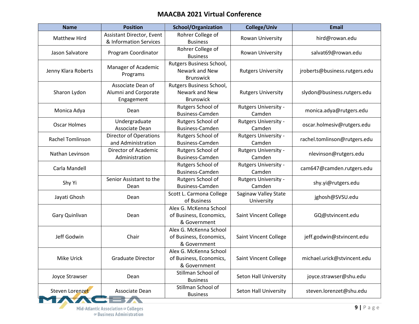| <b>Name</b>         | <b>Position</b>                                         | <b>School/Organization</b>                                        | <b>College/Univ</b>                   | <b>Email</b>                  |
|---------------------|---------------------------------------------------------|-------------------------------------------------------------------|---------------------------------------|-------------------------------|
| <b>Matthew Hird</b> | Assistant Director, Event<br>& Information Services     | Rohrer College of<br><b>Business</b>                              | Rowan University                      | hird@rowan.edu                |
| Jason Salvatore     | Program Coordinator                                     | Rohrer College of<br><b>Business</b>                              | Rowan University                      | salvat69@rowan.edu            |
| Jenny Klara Roberts | Manager of Academic<br>Programs                         | Rutgers Business School,<br>Newark and New<br><b>Brunswick</b>    | <b>Rutgers University</b>             | jroberts@business.rutgers.edu |
| Sharon Lydon        | Associate Dean of<br>Alumni and Corporate<br>Engagement | Rutgers Business School,<br>Newark and New<br><b>Brunswick</b>    | <b>Rutgers University</b>             | slydon@business.rutgers.edu   |
| Monica Adya         | Dean                                                    | Rutgers School of<br>Business-Camden                              | <b>Rutgers University -</b><br>Camden | monica.adya@rutgers.edu       |
| Oscar Holmes        | Undergraduate<br>Associate Dean                         | Rutgers School of<br>Business-Camden                              | <b>Rutgers University -</b><br>Camden | oscar.holmesiv@rutgers.edu    |
| Rachel Tomlinson    | <b>Director of Operations</b><br>and Administration     | Rutgers School of<br><b>Business-Camden</b>                       | <b>Rutgers University -</b><br>Camden | rachel.tomlinson@rutgers.edu  |
| Nathan Levinson     | Director of Academic<br>Administration                  | Rutgers School of<br>Business-Camden                              | <b>Rutgers University -</b><br>Camden | nlevinson@rutgers.edu         |
| Carla Mandell       |                                                         | Rutgers School of<br>Business-Camden                              | <b>Rutgers University -</b><br>Camden | cam647@camden.rutgers.edu     |
| Shy Yi              | Senior Assistant to the<br>Dean                         | Rutgers School of<br>Business-Camden                              | <b>Rutgers University -</b><br>Camden | shy.yi@rutgers.edu            |
| Jayati Ghosh        | Dean                                                    | Scott L. Carmona College<br>of Business                           | Saginaw Valley State<br>University    | jghosh@SVSU.edu               |
| Gary Quinlivan      | Dean                                                    | Alex G. McKenna School<br>of Business, Economics,<br>& Government | Saint Vincent College                 | GQ@stvincent.edu              |
| Jeff Godwin         | Chair                                                   | Alex G. McKenna School<br>of Business, Economics,<br>& Government | Saint Vincent College                 | jeff.godwin@stvincent.edu     |
| Mike Urick          | <b>Graduate Director</b>                                | Alex G. McKenna School<br>of Business, Economics,<br>& Government | Saint Vincent College                 | michael.urick@stvincent.edu   |
| Joyce Strawser      | Dean                                                    | Stillman School of<br><b>Business</b>                             | <b>Seton Hall University</b>          | joyce.strawser@shu.edu        |
| Steven Lorenzet     | Associate Dean                                          | Stillman School of<br><b>Business</b>                             | <b>Seton Hall University</b>          | steven.lorenzet@shu.edu       |

Z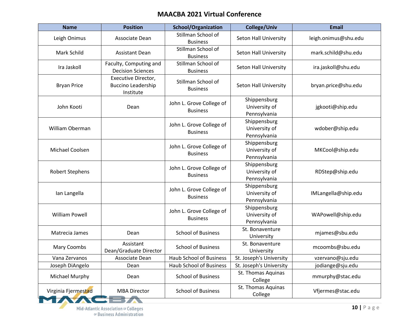| <b>Name</b>            | <b>Position</b>                                               | <b>School/Organization</b>                  | College/Univ                                  | <b>Email</b>         |
|------------------------|---------------------------------------------------------------|---------------------------------------------|-----------------------------------------------|----------------------|
| Leigh Onimus           | Associate Dean                                                | Stillman School of<br><b>Business</b>       | Seton Hall University                         | leigh.onimus@shu.edu |
| Mark Schild            | <b>Assistant Dean</b>                                         | Stillman School of<br><b>Business</b>       | Seton Hall University                         | mark.schild@shu.edu  |
| Ira Jaskoll            | Faculty, Computing and<br><b>Decision Sciences</b>            | Stillman School of<br><b>Business</b>       | Seton Hall University                         | ira.jaskoll@shu.edu  |
| <b>Bryan Price</b>     | Executive Director,<br><b>Buccino Leadership</b><br>Institute | Stillman School of<br><b>Business</b>       | <b>Seton Hall University</b>                  | bryan.price@shu.edu  |
| John Kooti             | Dean                                                          | John L. Grove College of<br><b>Business</b> | Shippensburg<br>University of<br>Pennsylvania | jgkooti@ship.edu     |
| <b>William Oberman</b> |                                                               | John L. Grove College of<br><b>Business</b> | Shippensburg<br>University of<br>Pennsylvania | wdober@ship.edu      |
| Michael Coolsen        |                                                               | John L. Grove College of<br><b>Business</b> | Shippensburg<br>University of<br>Pennsylvania | MKCool@ship.edu      |
| <b>Robert Stephens</b> |                                                               | John L. Grove College of<br><b>Business</b> | Shippensburg<br>University of<br>Pennsylvania | RDStep@ship.edu      |
| Ian Langella           |                                                               | John L. Grove College of<br><b>Business</b> | Shippensburg<br>University of<br>Pennsylvania | IMLangella@ship.edu  |
| <b>William Powell</b>  |                                                               | John L. Grove College of<br><b>Business</b> | Shippensburg<br>University of<br>Pennsylvania | WAPowell@ship.edu    |
| Matrecia James         | Dean                                                          | <b>School of Business</b>                   | St. Bonaventure<br>University                 | mjames@sbu.edu       |
| Mary Coombs            | Assistant<br>Dean/Graduate Director                           | <b>School of Business</b>                   | St. Bonaventure<br>University                 | mcoombs@sbu.edu      |
| Vana Zervanos          | Associate Dean                                                | Haub School of Business                     | St. Joseph's University                       | vzervano@sju.edu     |
| Joseph DiAngelo        | Dean                                                          | Haub School of Business                     | St. Joseph's University                       | jodiange@sju.edu     |
| Michael Murphy         | Dean                                                          | <b>School of Business</b>                   | St. Thomas Aquinas<br>College                 | mmurphy@stac.edu     |
| Virginia Fjermestad    | <b>MBA Director</b>                                           | <b>School of Business</b>                   | St. Thomas Aquinas<br>College                 | Vfjermes@stac.edu    |

z.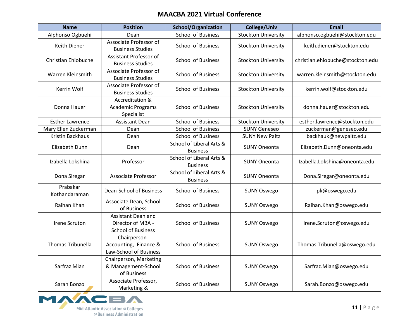| <b>Name</b>                | <b>Position</b>                                                      | <b>School/Organization</b>                  | <b>College/Univ</b>        | <b>Email</b>                     |
|----------------------------|----------------------------------------------------------------------|---------------------------------------------|----------------------------|----------------------------------|
| Alphonso Ogbuehi           | Dean                                                                 | <b>School of Business</b>                   | <b>Stockton University</b> | alphonso.ogbuehi@stockton.edu    |
| Keith Diener               | Associate Professor of<br><b>Business Studies</b>                    | <b>School of Business</b>                   | <b>Stockton University</b> | keith.diener@stockton.edu        |
| <b>Christian Ehiobuche</b> | Assistant Professor of<br><b>Business Studies</b>                    | <b>School of Business</b>                   | <b>Stockton University</b> | christian.ehiobuche@stockton.edu |
| Warren Kleinsmith          | Associate Professor of<br><b>Business Studies</b>                    | <b>School of Business</b>                   | <b>Stockton University</b> | warren.kleinsmith@stockton.edu   |
| Kerrin Wolf                | Associate Professor of<br><b>Business Studies</b>                    | <b>School of Business</b>                   | <b>Stockton University</b> | kerrin.wolf@stockton.edu         |
| Donna Hauer                | Accreditation &<br><b>Academic Programs</b><br>Specialist            | <b>School of Business</b>                   | <b>Stockton University</b> | donna.hauer@stockton.edu         |
| <b>Esther Lawrence</b>     | <b>Assistant Dean</b>                                                | <b>School of Business</b>                   | <b>Stockton University</b> | esther.lawrence@stockton.edu     |
| Mary Ellen Zuckerman       | Dean                                                                 | <b>School of Business</b>                   | <b>SUNY Geneseo</b>        | zuckerman@geneseo.edu            |
| Kristin Backhaus           | Dean                                                                 | <b>School of Business</b>                   | <b>SUNY New Paltz</b>      | backhauk@newpaltz.edu            |
| Elizabeth Dunn             | Dean                                                                 | School of Liberal Arts &<br><b>Business</b> | <b>SUNY Oneonta</b>        | Elizabeth.Dunn@oneonta.edu       |
| Izabella Lokshina          | Professor                                                            | School of Liberal Arts &<br><b>Business</b> | <b>SUNY Oneonta</b>        | Izabella.Lokshina@oneonta.edu    |
| Dona Siregar               | Associate Professor                                                  | School of Liberal Arts &<br><b>Business</b> | <b>SUNY Oneonta</b>        | Dona.Siregar@oneonta.edu         |
| Prabakar<br>Kothandaraman  | Dean-School of Business                                              | <b>School of Business</b>                   | <b>SUNY Oswego</b>         | pk@oswego.edu                    |
| Raihan Khan                | Associate Dean, School<br>of Business                                | <b>School of Business</b>                   | <b>SUNY Oswego</b>         | Raihan.Khan@oswego.edu           |
| <b>Irene Scruton</b>       | Assistant Dean and<br>Director of MBA -<br><b>School of Business</b> | <b>School of Business</b>                   | <b>SUNY Oswego</b>         | Irene.Scruton@oswego.edu         |
| <b>Thomas Tribunella</b>   | Chairperson-<br>Accounting, Finance &<br>Law-School of Business      | <b>School of Business</b>                   | <b>SUNY Oswego</b>         | Thomas.Tribunella@oswego.edu     |
| Sarfraz Mian               | Chairperson, Marketing<br>& Management-School<br>of Business         | <b>School of Business</b>                   | <b>SUNY Oswego</b>         | Sarfraz.Mian@oswego.edu          |
| Sarah Bonzo                | Associate Professor,<br>Marketing &                                  | <b>School of Business</b>                   | <b>SUNY Oswego</b>         | Sarah.Bonzo@oswego.edu           |

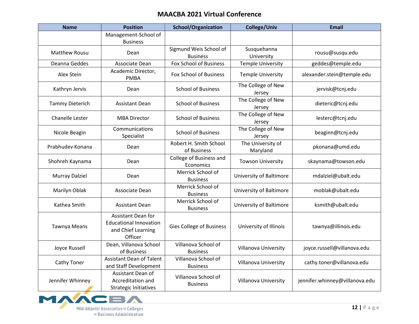| <b>Name</b>            | <b>Position</b>                                                                             | <b>School/Organization</b>                | <b>College/Univ</b>           | <b>Email</b>                   |
|------------------------|---------------------------------------------------------------------------------------------|-------------------------------------------|-------------------------------|--------------------------------|
|                        | Management-School of<br><b>Business</b>                                                     |                                           |                               |                                |
| <b>Matthew Rousu</b>   | Dean                                                                                        | Sigmund Weis School of<br><b>Business</b> | Susquehanna<br>University     | rousu@susqu.edu                |
| Deanna Geddes          | Associate Dean                                                                              | Fox School of Business                    | <b>Temple University</b>      | geddes@temple.edu              |
| Alex Stein             | Academic Director,<br><b>PMBA</b>                                                           | Fox School of Business                    | <b>Temple University</b>      | alexander.stein@temple.edu     |
| Kathryn Jervis         | Dean                                                                                        | <b>School of Business</b>                 | The College of New<br>Jersey  | jervisk@tcnj.edu               |
| <b>Tammy Dieterich</b> | <b>Assistant Dean</b>                                                                       | <b>School of Business</b>                 | The College of New<br>Jersey  | dieteric@tcnj.edu              |
| Chanelle Lester        | <b>MBA Director</b>                                                                         | <b>School of Business</b>                 | The College of New<br>Jersey  | lesterc@tcnj.edu               |
| Nicole Beagin          | Communications<br>Specialist                                                                | <b>School of Business</b>                 | The College of New<br>Jersey  | beaginn@tcnj.edu               |
| Prabhudev Konana       | Dean                                                                                        | Robert H. Smith School<br>of Business     | The University of<br>Maryland | pkonana@umd.edu                |
| Shohreh Kaynama        | Dean                                                                                        | College of Business and<br>Economics      | <b>Towson University</b>      | skaynama@towson.edu            |
| <b>Murray Dalziel</b>  | Dean                                                                                        | Merrick School of<br><b>Business</b>      | University of Baltimore       | mdalziel@ubalt.edu             |
| Marilyn Oblak          | Associate Dean                                                                              | Merrick School of<br><b>Business</b>      | University of Baltimore       | moblak@ubalt.edu               |
| Kathea Smith           | <b>Assistant Dean</b>                                                                       | Merrick School of<br><b>Business</b>      | University of Baltimore       | ksmith@ubalt.edu               |
| <b>Tawnya Means</b>    | <b>Assistant Dean for</b><br><b>Educational Innovation</b><br>and Chief Learning<br>Officer | Gies College of Business                  | University of Illinois        | tawnya@illinois.edu            |
| Joyce Russell          | Dean, Villanova School<br>of Business                                                       | Villanova School of<br><b>Business</b>    | Villanova University          | joyce.russell@villanova.edu    |
| Cathy Toner            | <b>Assistant Dean of Talent</b><br>and Staff Development                                    | Villanova School of<br><b>Business</b>    | Villanova University          | cathy.toner@villanova.edu      |
| Jennifer Whinney       | Assistant Dean of<br>Accreditation and<br><b>Strategic Initiatives</b>                      | Villanova School of<br><b>Business</b>    | Villanova University          | jennifer.whinney@villanova.edu |